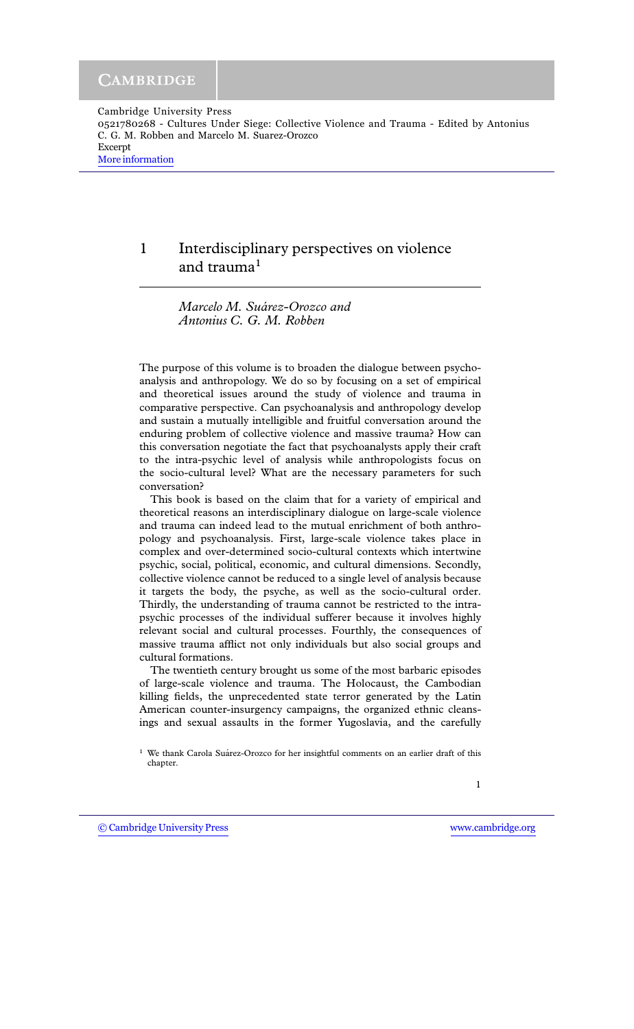Cambridge University Press 0521780268 - Cultures Under Siege: Collective Violence and Trauma - Edited by Antonius C. G. M. Robben and Marcelo M. Suarez-Orozco Excerpt [More information](http://www.cambridge.org/0521780268)

# 1 Interdisciplinary perspectives on violence and trauma $^{\rm l}$

Marcelo M. Suárez-Orozco and Antonius C. G. M. Robben

The purpose of this volume is to broaden the dialogue between psychoanalysis and anthropology. We do so by focusing on a set of empirical and theoretical issues around the study of violence and trauma in comparative perspective. Can psychoanalysis and anthropology develop and sustain a mutually intelligible and fruitful conversation around the enduring problem of collective violence and massive trauma? How can this conversation negotiate the fact that psychoanalysts apply their craft to the intra-psychic level of analysis while anthropologists focus on the socio-cultural level? What are the necessary parameters for such conversation?

This book is based on the claim that for a variety of empirical and theoretical reasons an interdisciplinary dialogue on large-scale violence and trauma can indeed lead to the mutual enrichment of both anthropology and psychoanalysis. First, large-scale violence takes place in complex and over-determined socio-cultural contexts which intertwine psychic, social, political, economic, and cultural dimensions. Secondly, collective violence cannot be reduced to a single level of analysis because it targets the body, the psyche, as well as the socio-cultural order. Thirdly, the understanding of trauma cannot be restricted to the intrapsychic processes of the individual sufferer because it involves highly relevant social and cultural processes. Fourthly, the consequences of massive trauma afflict not only individuals but also social groups and cultural formations.

The twentieth century brought us some of the most barbaric episodes of large-scale violence and trauma. The Holocaust, the Cambodian killing fields, the unprecedented state terror generated by the Latin American counter-insurgency campaigns, the organized ethnic cleansings and sexual assaults in the former Yugoslavia, and the carefully

<sup>&</sup>lt;sup>1</sup> We thank Carola Suárez-Orozco for her insightful comments on an earlier draft of this chapter.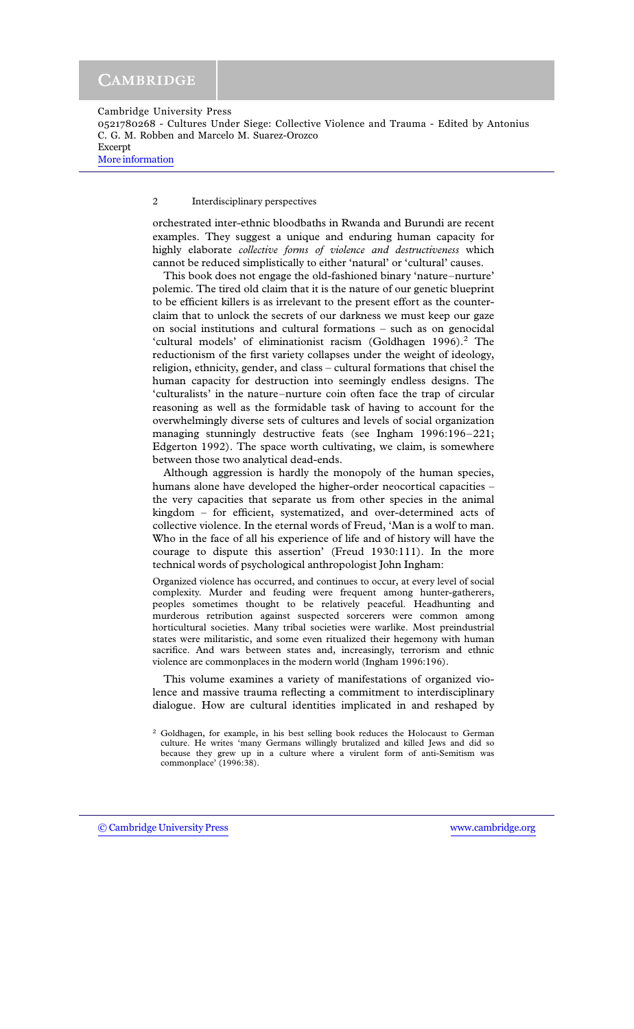0521780268 - Cultures Under Siege: Collective Violence and Trauma - Edited by Antonius C. G. M. Robben and Marcelo M. Suarez-Orozco

Excerpt [More information](http://www.cambridge.org/0521780268)

# 2 Interdisciplinary perspectives

orchestrated inter-ethnic bloodbaths in Rwanda and Burundi are recent examples. They suggest a unique and enduring human capacity for highly elaborate collective forms of violence and destructiveness which cannot be reduced simplistically to either 'natural' or 'cultural' causes.

This book does not engage the old-fashioned binary 'nature-nurture' polemic. The tired old claim that it is the nature of our genetic blueprint to be efficient killers is as irrelevant to the present effort as the counterclaim that to unlock the secrets of our darkness we must keep our gaze on social institutions and cultural formations – such as on genocidal 'cultural models' of eliminationist racism (Goldhagen 1996).<sup>2</sup> The reductionism of the first variety collapses under the weight of ideology, religion, ethnicity, gender, and class – cultural formations that chisel the human capacity for destruction into seemingly endless designs. The 'culturalists' in the nature-nurture coin often face the trap of circular reasoning as well as the formidable task of having to account for the overwhelmingly diverse sets of cultures and levels of social organization managing stunningly destructive feats (see Ingham 1996:196–221; Edgerton 1992). The space worth cultivating, we claim, is somewhere between those two analytical dead-ends.

Although aggression is hardly the monopoly of the human species, humans alone have developed the higher-order neocortical capacities – the very capacities that separate us from other species in the animal kingdom - for efficient, systematized, and over-determined acts of collective violence. In the eternal words of Freud, 'Man is a wolf to man. Who in the face of all his experience of life and of history will have the courage to dispute this assertion' (Freud 1930:111). In the more technical words of psychological anthropologist John Ingham:

Organized violence has occurred, and continues to occur, at every level of social complexity. Murder and feuding were frequent among hunter-gatherers, peoples sometimes thought to be relatively peaceful. Headhunting and murderous retribution against suspected sorcerers were common among horticultural societies. Many tribal societies were warlike. Most preindustrial states were militaristic, and some even ritualized their hegemony with human sacrifice. And wars between states and, increasingly, terrorism and ethnic violence are commonplaces in the modern world (Ingham 1996:196).

This volume examines a variety of manifestations of organized violence and massive trauma reflecting a commitment to interdisciplinary dialogue. How are cultural identities implicated in and reshaped by

<sup>&</sup>lt;sup>2</sup> Goldhagen, for example, in his best selling book reduces the Holocaust to German culture. He writes 'many Germans willingly brutalized and killed Jews and did so because they grew up in a culture where a virulent form of anti-Semitism was commonplace' (1996:38).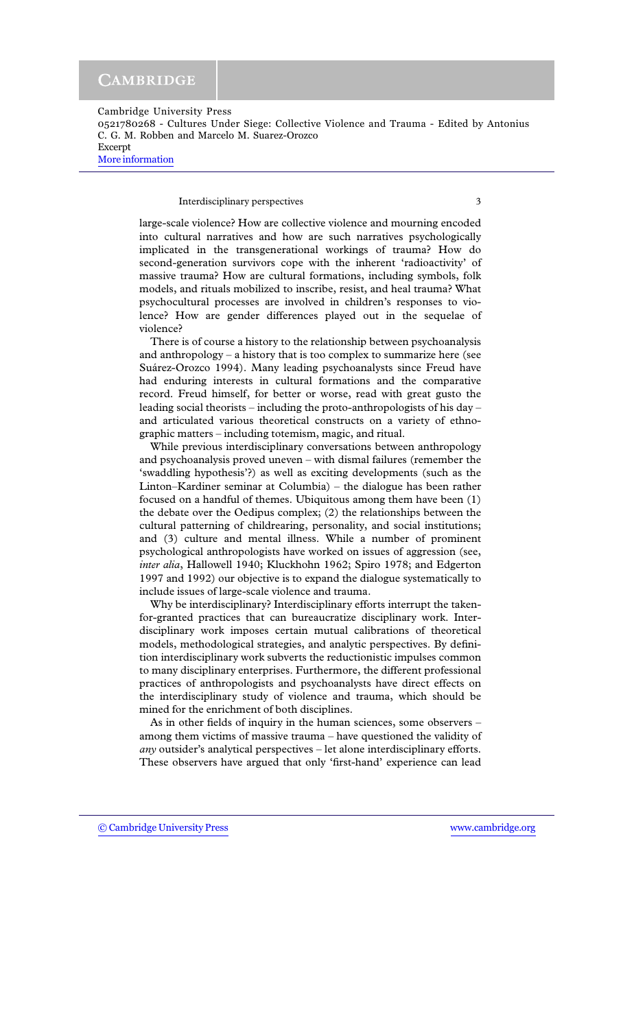0521780268 - Cultures Under Siege: Collective Violence and Trauma - Edited by Antonius C. G. M. Robben and Marcelo M. Suarez-Orozco

## Interdisciplinary perspectives 3

large-scale violence? How are collective violence and mourning encoded into cultural narratives and how are such narratives psychologically implicated in the transgenerational workings of trauma? How do second-generation survivors cope with the inherent 'radioactivity' of massive trauma? How are cultural formations, including symbols, folk models, and rituals mobilized to inscribe, resist, and heal trauma? What psychocultural processes are involved in children's responses to violence? How are gender differences played out in the sequelae of violence?

There is of course a history to the relationship between psychoanalysis and anthropology  $-$  a history that is too complex to summarize here (see Suárez-Orozco 1994). Many leading psychoanalysts since Freud have had enduring interests in cultural formations and the comparative record. Freud himself, for better or worse, read with great gusto the leading social theorists – including the proto-anthropologists of his day – and articulated various theoretical constructs on a variety of ethnographic matters – including totemism, magic, and ritual.

While previous interdisciplinary conversations between anthropology and psychoanalysis proved uneven – with dismal failures (remember the 'swaddling hypothesis'?) as well as exciting developments (such as the Linton–Kardiner seminar at Columbia) – the dialogue has been rather focused on a handful of themes. Ubiquitous among them have been (1) the debate over the Oedipus complex; (2) the relationships between the cultural patterning of childrearing, personality, and social institutions; and (3) culture and mental illness. While a number of prominent psychological anthropologists have worked on issues of aggression (see, inter alia, Hallowell 1940; Kluckhohn 1962; Spiro 1978; and Edgerton 1997 and 1992) our objective is to expand the dialogue systematically to include issues of large-scale violence and trauma.

Why be interdisciplinary? Interdisciplinary efforts interrupt the takenfor-granted practices that can bureaucratize disciplinary work. Interdisciplinary work imposes certain mutual calibrations of theoretical models, methodological strategies, and analytic perspectives. By definition interdisciplinary work subverts the reductionistic impulses common to many disciplinary enterprises. Furthermore, the different professional practices of anthropologists and psychoanalysts have direct effects on the interdisciplinary study of violence and trauma, which should be mined for the enrichment of both disciplines.

As in other fields of inquiry in the human sciences, some observers among them victims of massive trauma - have questioned the validity of any outsider's analytical perspectives - let alone interdisciplinary efforts. These observers have argued that only 'first-hand' experience can lead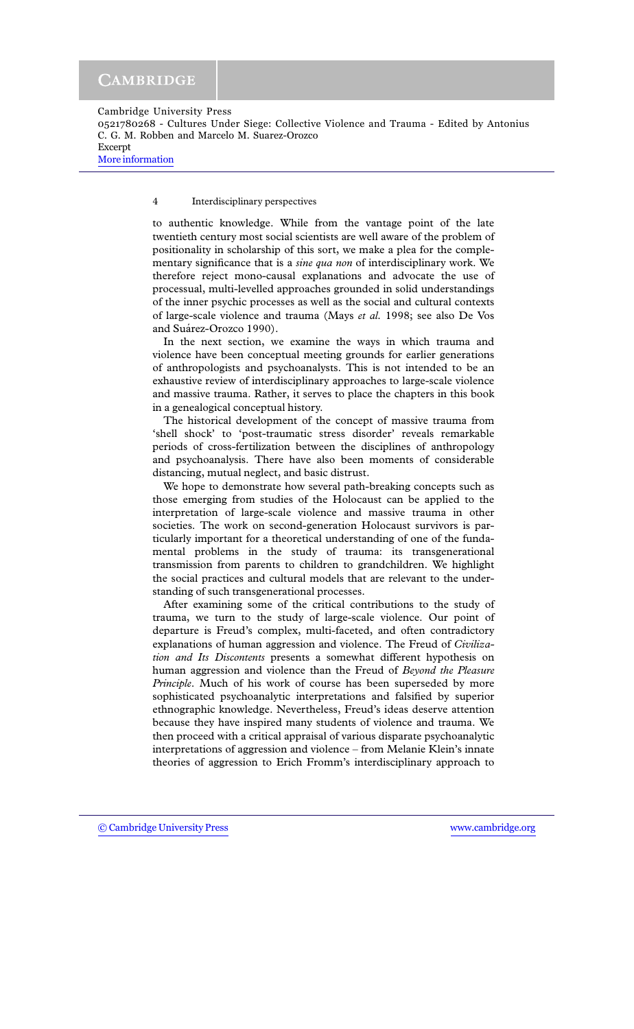0521780268 - Cultures Under Siege: Collective Violence and Trauma - Edited by Antonius C. G. M. Robben and Marcelo M. Suarez-Orozco

# 4 Interdisciplinary perspectives

to authentic knowledge. While from the vantage point of the late twentieth century most social scientists are well aware of the problem of positionality in scholarship of this sort, we make a plea for the complementary significance that is a *sine qua non* of interdisciplinary work. We therefore reject mono-causal explanations and advocate the use of processual, multi-levelled approaches grounded in solid understandings of the inner psychic processes as well as the social and cultural contexts of large-scale violence and trauma (Mays et al. 1998; see also De Vos and Suárez-Orozco 1990).

In the next section, we examine the ways in which trauma and violence have been conceptual meeting grounds for earlier generations of anthropologists and psychoanalysts. This is not intended to be an exhaustive review of interdisciplinary approaches to large-scale violence and massive trauma. Rather, it serves to place the chapters in this book in a genealogical conceptual history.

The historical development of the concept of massive trauma from 'shell shock' to 'post-traumatic stress disorder' reveals remarkable periods of cross-fertilization between the disciplines of anthropology and psychoanalysis. There have also been moments of considerable distancing, mutual neglect, and basic distrust.

We hope to demonstrate how several path-breaking concepts such as those emerging from studies of the Holocaust can be applied to the interpretation of large-scale violence and massive trauma in other societies. The work on second-generation Holocaust survivors is particularly important for a theoretical understanding of one of the fundamental problems in the study of trauma: its transgenerational transmission from parents to children to grandchildren. We highlight the social practices and cultural models that are relevant to the understanding of such transgenerational processes.

After examining some of the critical contributions to the study of trauma, we turn to the study of large-scale violence. Our point of departure is Freud's complex, multi-faceted, and often contradictory explanations of human aggression and violence. The Freud of Civilization and Its Discontents presents a somewhat different hypothesis on human aggression and violence than the Freud of Beyond the Pleasure Principle. Much of his work of course has been superseded by more sophisticated psychoanalytic interpretations and falsified by superior ethnographic knowledge. Nevertheless, Freud's ideas deserve attention because they have inspired many students of violence and trauma. We then proceed with a critical appraisal of various disparate psychoanalytic interpretations of aggression and violence – from Melanie Klein's innate theories of aggression to Erich Fromm's interdisciplinary approach to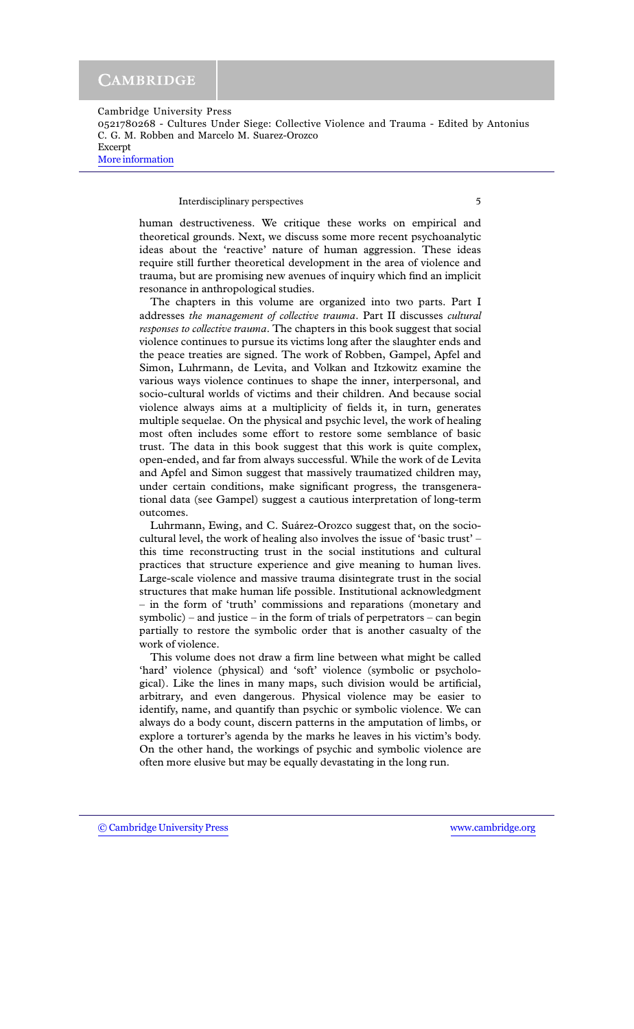0521780268 - Cultures Under Siege: Collective Violence and Trauma - Edited by Antonius C. G. M. Robben and Marcelo M. Suarez-Orozco

Excerpt [More information](http://www.cambridge.org/0521780268)

## Interdisciplinary perspectives 5

human destructiveness. We critique these works on empirical and theoretical grounds. Next, we discuss some more recent psychoanalytic ideas about the 'reactive' nature of human aggression. These ideas require still further theoretical development in the area of violence and trauma, but are promising new avenues of inquiry which find an implicit resonance in anthropological studies.

The chapters in this volume are organized into two parts. Part I addresses the management of collective trauma. Part II discusses cultural responses to collective trauma. The chapters in this book suggest that social violence continues to pursue its victims long after the slaughter ends and the peace treaties are signed. The work of Robben, Gampel, Apfel and Simon, Luhrmann, de Levita, and Volkan and Itzkowitz examine the various ways violence continues to shape the inner, interpersonal, and socio-cultural worlds of victims and their children. And because social violence always aims at a multiplicity of fields it, in turn, generates multiple sequelae. On the physical and psychic level, the work of healing most often includes some effort to restore some semblance of basic trust. The data in this book suggest that this work is quite complex, open-ended, and far from always successful. While the work of de Levita and Apfel and Simon suggest that massively traumatized children may, under certain conditions, make significant progress, the transgenerational data (see Gampel) suggest a cautious interpretation of long-term outcomes.

Luhrmann, Ewing, and C. Suárez-Orozco suggest that, on the sociocultural level, the work of healing also involves the issue of 'basic trust' – this time reconstructing trust in the social institutions and cultural practices that structure experience and give meaning to human lives. Large-scale violence and massive trauma disintegrate trust in the social structures that make human life possible. Institutional acknowledgment - in the form of 'truth' commissions and reparations (monetary and symbolic) – and justice – in the form of trials of perpetrators – can begin partially to restore the symbolic order that is another casualty of the work of violence.

This volume does not draw a firm line between what might be called 'hard' violence (physical) and 'soft' violence (symbolic or psychological). Like the lines in many maps, such division would be artificial, arbitrary, and even dangerous. Physical violence may be easier to identify, name, and quantify than psychic or symbolic violence. We can always do a body count, discern patterns in the amputation of limbs, or explore a torturer's agenda by the marks he leaves in his victim's body. On the other hand, the workings of psychic and symbolic violence are often more elusive but may be equally devastating in the long run.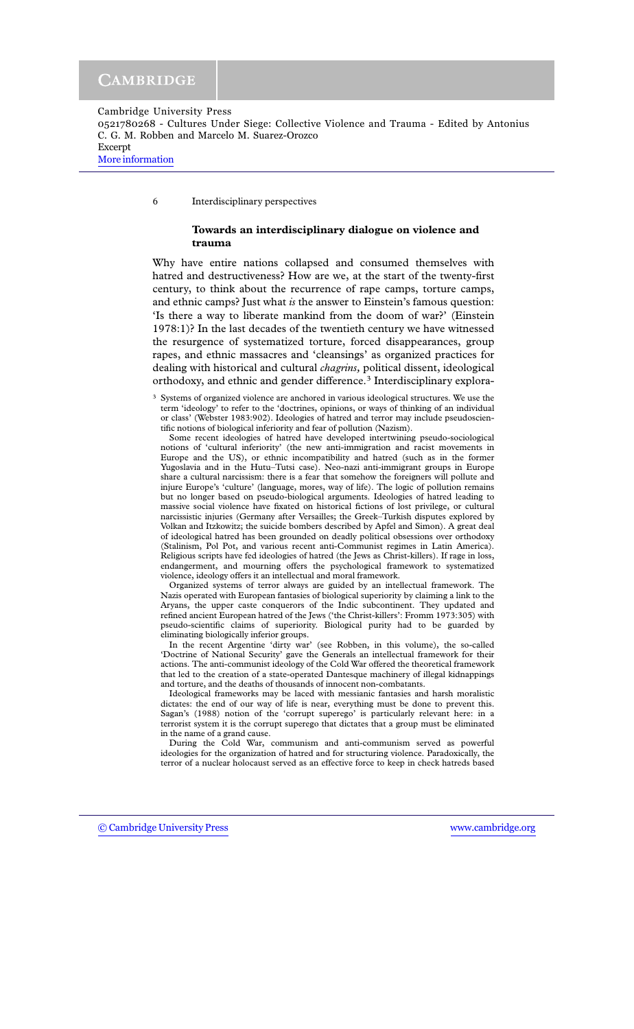0521780268 - Cultures Under Siege: Collective Violence and Trauma - Edited by Antonius C. G. M. Robben and Marcelo M. Suarez-Orozco Excerpt

[More information](http://www.cambridge.org/0521780268)

6 Interdisciplinary perspectives

# Towards an interdisciplinary dialogue on violence and trauma

Why have entire nations collapsed and consumed themselves with hatred and destructiveness? How are we, at the start of the twenty-first century, to think about the recurrence of rape camps, torture camps, and ethnic camps? Just what  $i$  the answer to Einstein's famous question: 'Is there a way to liberate mankind from the doom of war?' (Einstein 1978:1)? In the last decades of the twentieth century we have witnessed the resurgence of systematized torture, forced disappearances, group rapes, and ethnic massacres and 'cleansings' as organized practices for dealing with historical and cultural *chagrins*, political dissent, ideological orthodoxy, and ethnic and gender difference.<sup>3</sup> Interdisciplinary explora-

 $3$  Systems of organized violence are anchored in various ideological structures. We use the term 'ideology' to refer to the 'doctrines, opinions, or ways of thinking of an individual or class' (Webster 1983:902). Ideologies of hatred and terror may include pseudoscientific notions of biological inferiority and fear of pollution (Nazism).

Some recent ideologies of hatred have developed intertwining pseudo-sociological notions of 'cultural inferiority' (the new anti-immigration and racist movements in Europe and the US), or ethnic incompatibility and hatred (such as in the former Yugoslavia and in the Hutu–Tutsi case). Neo-nazi anti-immigrant groups in Europe share a cultural narcissism: there is a fear that somehow the foreigners will pollute and injure Europe's 'culture' (language, mores, way of life). The logic of pollution remains but no longer based on pseudo-biological arguments. Ideologies of hatred leading to massive social violence have fixated on historical fictions of lost privilege, or cultural narcissistic injuries (Germany after Versailles; the Greek–Turkish disputes explored by Volkan and Itzkowitz; the suicide bombers described by Apfel and Simon). A great deal of ideological hatred has been grounded on deadly political obsessions over orthodoxy (Stalinism, Pol Pot, and various recent anti-Communist regimes in Latin America). Religious scripts have fed ideologies of hatred (the Jews as Christ-killers). If rage in loss, endangerment, and mourning offers the psychological framework to systematized violence, ideology offers it an intellectual and moral framework.

Organized systems of terror always are guided by an intellectual framework. The Nazis operated with European fantasies of biological superiority by claiming a link to the Aryans, the upper caste conquerors of the Indic subcontinent. They updated and refined ancient European hatred of the Jews ('the Christ-killers': Fromm 1973:305) with pseudo-scientific claims of superiority. Biological purity had to be guarded by eliminating biologically inferior groups.

In the recent Argentine 'dirty war' (see Robben, in this volume), the so-called 'Doctrine of National Security' gave the Generals an intellectual framework for their actions. The anti-communist ideology of the Cold War offered the theoretical framework that led to the creation of a state-operated Dantesque machinery of illegal kidnappings and torture, and the deaths of thousands of innocent non-combatants.

Ideological frameworks may be laced with messianic fantasies and harsh moralistic dictates: the end of our way of life is near, everything must be done to prevent this. Sagan's (1988) notion of the 'corrupt superego' is particularly relevant here: in a terrorist system it is the corrupt superego that dictates that a group must be eliminated in the name of a grand cause.

During the Cold War, communism and anti-communism served as powerful ideologies for the organization of hatred and for structuring violence. Paradoxically, the terror of a nuclear holocaust served as an effective force to keep in check hatreds based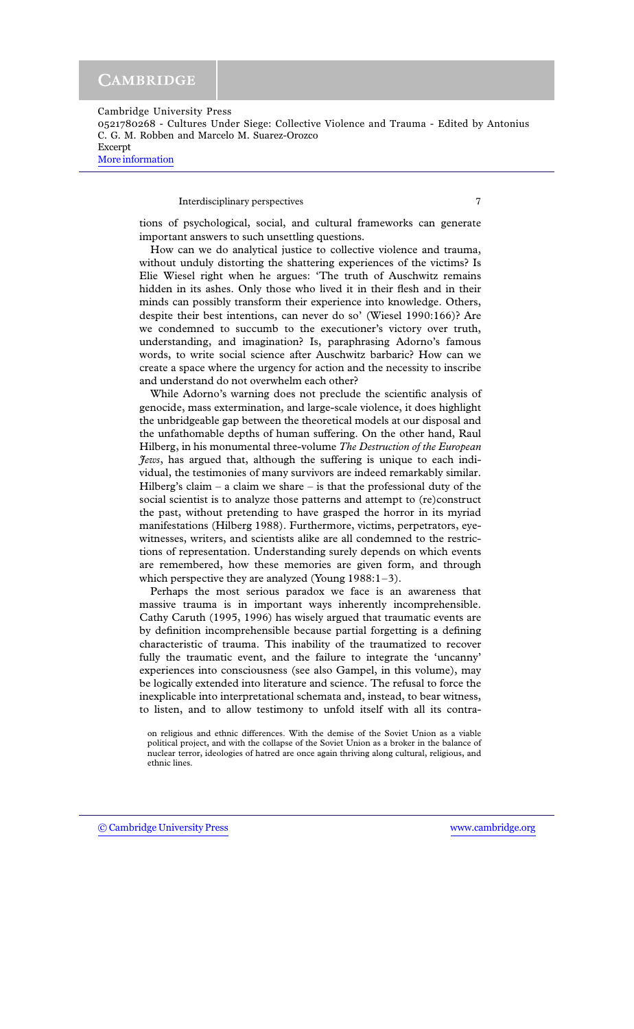0521780268 - Cultures Under Siege: Collective Violence and Trauma - Edited by Antonius C. G. M. Robben and Marcelo M. Suarez-Orozco Excerpt

[More information](http://www.cambridge.org/0521780268)

#### Interdisciplinary perspectives 7

tions of psychological, social, and cultural frameworks can generate important answers to such unsettling questions.

How can we do analytical justice to collective violence and trauma, without unduly distorting the shattering experiences of the victims? Is Elie Wiesel right when he argues: 'The truth of Auschwitz remains hidden in its ashes. Only those who lived it in their flesh and in their minds can possibly transform their experience into knowledge. Others, despite their best intentions, can never do so' (Wiesel 1990:166)? Are we condemned to succumb to the executioner's victory over truth, understanding, and imagination? Is, paraphrasing Adorno's famous words, to write social science after Auschwitz barbaric? How can we create a space where the urgency for action and the necessity to inscribe and understand do not overwhelm each other?

While Adorno's warning does not preclude the scientific analysis of genocide, mass extermination, and large-scale violence, it does highlight the unbridgeable gap between the theoretical models at our disposal and the unfathomable depths of human suffering. On the other hand, Raul Hilberg, in his monumental three-volume The Destruction of the European Jews, has argued that, although the suffering is unique to each individual, the testimonies of many survivors are indeed remarkably similar. Hilberg's claim  $-$  a claim we share  $-$  is that the professional duty of the social scientist is to analyze those patterns and attempt to (re)construct the past, without pretending to have grasped the horror in its myriad manifestations (Hilberg 1988). Furthermore, victims, perpetrators, eyewitnesses, writers, and scientists alike are all condemned to the restrictions of representation. Understanding surely depends on which events are remembered, how these memories are given form, and through which perspective they are analyzed (Young  $1988:1-3$ ).

Perhaps the most serious paradox we face is an awareness that massive trauma is in important ways inherently incomprehensible. Cathy Caruth (1995, 1996) has wisely argued that traumatic events are by definition incomprehensible because partial forgetting is a defining characteristic of trauma. This inability of the traumatized to recover fully the traumatic event, and the failure to integrate the 'uncanny' experiences into consciousness (see also Gampel, in this volume), may be logically extended into literature and science. The refusal to force the inexplicable into interpretational schemata and, instead, to bear witness, to listen, and to allow testimony to unfold itself with all its contra-

on religious and ethnic differences. With the demise of the Soviet Union as a viable political project, and with the collapse of the Soviet Union as a broker in the balance of nuclear terror, ideologies of hatred are once again thriving along cultural, religious, and ethnic lines.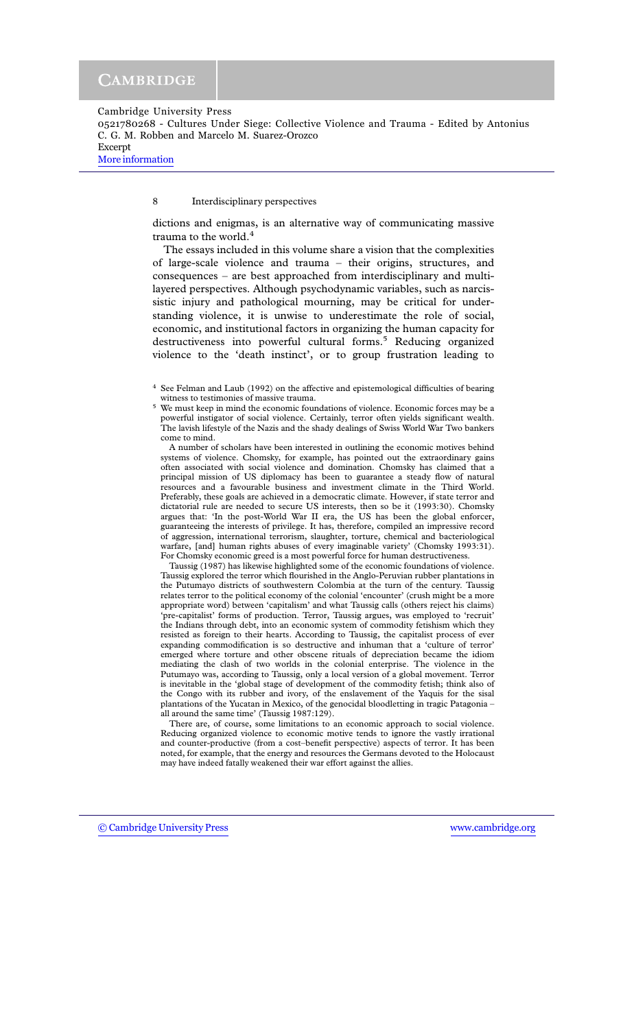0521780268 - Cultures Under Siege: Collective Violence and Trauma - Edited by Antonius C. G. M. Robben and Marcelo M. Suarez-Orozco

## 8 Interdisciplinary perspectives

dictions and enigmas, is an alternative way of communicating massive trauma to the world. $^4$ 

The essays included in this volume share a vision that the complexities of large-scale violence and trauma - their origins, structures, and consequences - are best approached from interdisciplinary and multilayered perspectives. Although psychodynamic variables, such as narcissistic injury and pathological mourning, may be critical for understanding violence, it is unwise to underestimate the role of social, economic, and institutional factors in organizing the human capacity for destructiveness into powerful cultural forms.<sup>5</sup> Reducing organized violence to the 'death instinct', or to group frustration leading to

- <sup>4</sup> See Felman and Laub (1992) on the affective and epistemological difficulties of bearing witness to testimonies of massive trauma.
- <sup>5</sup> We must keep in mind the economic foundations of violence. Economic forces may be a powerful instigator of social violence. Certainly, terror often yields significant wealth. The lavish lifestyle of the Nazis and the shady dealings of Swiss World War Two bankers come to mind.

A number of scholars have been interested in outlining the economic motives behind systems of violence. Chomsky, for example, has pointed out the extraordinary gains often associated with social violence and domination. Chomsky has claimed that a principal mission of US diplomacy has been to guarantee a steady flow of natural resources and a favourable business and investment climate in the Third World. Preferably, these goals are achieved in a democratic climate. However, if state terror and dictatorial rule are needed to secure US interests, then so be it (1993:30). Chomsky argues that: 'In the post-World War II era, the US has been the global enforcer, guaranteeing the interests of privilege. It has, therefore, compiled an impressive record of aggression, international terrorism, slaughter, torture, chemical and bacteriological warfare, [and] human rights abuses of every imaginable variety' (Chomsky 1993:31). For Chomsky economic greed is a most powerful force for human destructiveness.

Taussig (1987) has likewise highlighted some of the economic foundations of violence. Taussig explored the terror which flourished in the Anglo-Peruvian rubber plantations in the Putumayo districts of southwestern Colombia at the turn of the century. Taussig relates terror to the political economy of the colonial 'encounter' (crush might be a more appropriate word) between 'capitalism' and what Taussig calls (others reject his claims) 'pre-capitalist' forms of production. Terror, Taussig argues, was employed to 'recruit' the Indians through debt, into an economic system of commodity fetishism which they resisted as foreign to their hearts. According to Taussig, the capitalist process of ever expanding commodification is so destructive and inhuman that a 'culture of terror' emerged where torture and other obscene rituals of depreciation became the idiom mediating the clash of two worlds in the colonial enterprise. The violence in the Putumayo was, according to Taussig, only a local version of a global movement. Terror is inevitable in the 'global stage of development of the commodity fetish; think also of the Congo with its rubber and ivory, of the enslavement of the Yaquis for the sisal plantations of the Yucatan in Mexico, of the genocidal bloodletting in tragic Patagonia all around the same time' (Taussig 1987:129).

There are, of course, some limitations to an economic approach to social violence. Reducing organized violence to economic motive tends to ignore the vastly irrational and counter-productive (from a cost-benefit perspective) aspects of terror. It has been noted, for example, that the energy and resources the Germans devoted to the Holocaust may have indeed fatally weakened their war effort against the allies.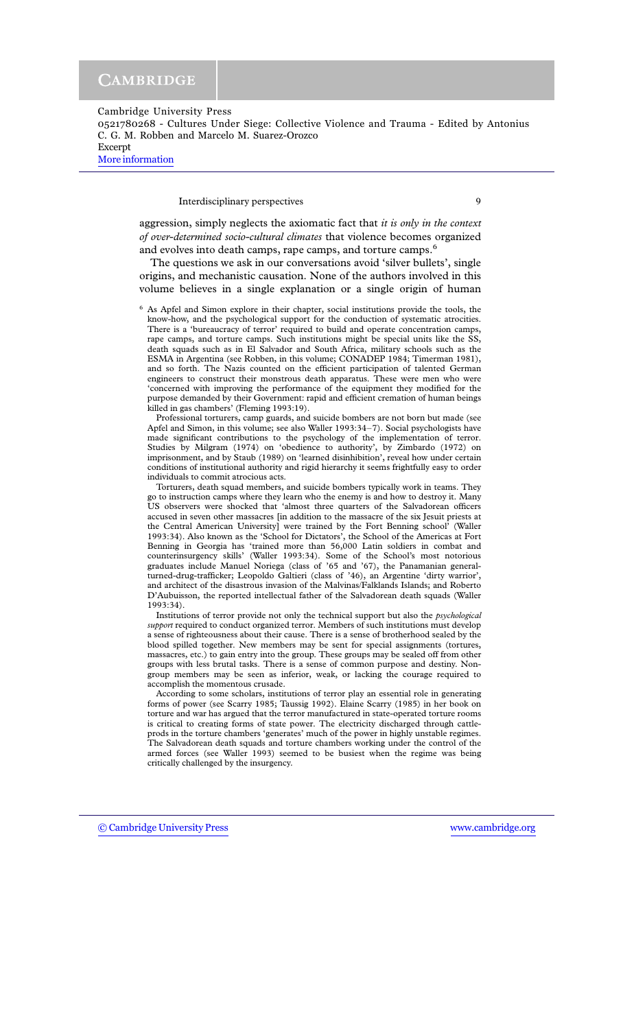0521780268 - Cultures Under Siege: Collective Violence and Trauma - Edited by Antonius C. G. M. Robben and Marcelo M. Suarez-Orozco Excerpt

# Interdisciplinary perspectives 9

aggression, simply neglects the axiomatic fact that it is only in the context of over-determined socio-cultural climates that violence becomes organized and evolves into death camps, rape camps, and torture camps. $^6$ 

The questions we ask in our conversations avoid 'silver bullets', single origins, and mechanistic causation. None of the authors involved in this volume believes in a single explanation or a single origin of human

 $6$  As Apfel and Simon explore in their chapter, social institutions provide the tools, the know-how, and the psychological support for the conduction of systematic atrocities. There is a 'bureaucracy of terror' required to build and operate concentration camps, rape camps, and torture camps. Such institutions might be special units like the SS, death squads such as in El Salvador and South Africa, military schools such as the ESMA in Argentina (see Robben, in this volume; CONADEP 1984; Timerman 1981), and so forth. The Nazis counted on the efficient participation of talented German engineers to construct their monstrous death apparatus. These were men who were 'concerned with improving the performance of the equipment they modified for the purpose demanded by their Government: rapid and efficient cremation of human beings killed in gas chambers' (Fleming 1993:19).

Professional torturers, camp guards, and suicide bombers are not born but made (see Apfel and Simon, in this volume; see also Waller 1993:34-7). Social psychologists have made significant contributions to the psychology of the implementation of terror. Studies by Milgram (1974) on 'obedience to authority', by Zimbardo (1972) on imprisonment, and by Staub (1989) on 'learned disinhibition', reveal how under certain conditions of institutional authority and rigid hierarchy it seems frightfully easy to order individuals to commit atrocious acts.

Torturers, death squad members, and suicide bombers typically work in teams. They go to instruction camps where they learn who the enemy is and how to destroy it. Many US observers were shocked that 'almost three quarters of the Salvadorean officers accused in seven other massacres [in addition to the massacre of the six Jesuit priests at the Central American University] were trained by the Fort Benning school' (Waller 1993:34). Also known as the 'School for Dictators', the School of the Americas at Fort Benning in Georgia has 'trained more than 56,000 Latin soldiers in combat and counterinsurgency skills' (Waller 1993:34). Some of the School's most notorious graduates include Manuel Noriega (class of '65 and '67), the Panamanian generalturned-drug-trafficker; Leopoldo Galtieri (class of '46), an Argentine 'dirty warrior', and architect of the disastrous invasion of the Malvinas/Falklands Islands; and Roberto D'Aubuisson, the reported intellectual father of the Salvadorean death squads (Waller 1993:34).

Institutions of terror provide not only the technical support but also the *psychological* support required to conduct organized terror. Members of such institutions must develop a sense of righteousness about their cause. There is a sense of brotherhood sealed by the blood spilled together. New members may be sent for special assignments (tortures, massacres, etc.) to gain entry into the group. These groups may be sealed off from other groups with less brutal tasks. There is a sense of common purpose and destiny. Nongroup members may be seen as inferior, weak, or lacking the courage required to accomplish the momentous crusade.

According to some scholars, institutions of terror play an essential role in generating forms of power (see Scarry 1985; Taussig 1992). Elaine Scarry (1985) in her book on torture and war has argued that the terror manufactured in state-operated torture rooms is critical to creating forms of state power. The electricity discharged through cattleprods in the torture chambers 'generates' much of the power in highly unstable regimes. The Salvadorean death squads and torture chambers working under the control of the armed forces (see Waller 1993) seemed to be busiest when the regime was being critically challenged by the insurgency.